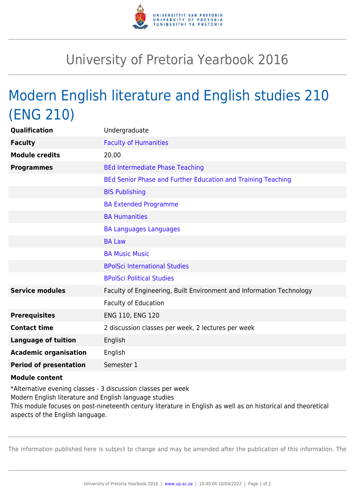

## University of Pretoria Yearbook 2016

## Modern English literature and English studies 210 (ENG 210)

| Qualification                 | Undergraduate                                                        |
|-------------------------------|----------------------------------------------------------------------|
| <b>Faculty</b>                | <b>Faculty of Humanities</b>                                         |
| <b>Module credits</b>         | 20.00                                                                |
| <b>Programmes</b>             | <b>BEd Intermediate Phase Teaching</b>                               |
|                               | BEd Senior Phase and Further Education and Training Teaching         |
|                               | <b>BIS Publishing</b>                                                |
|                               | <b>BA Extended Programme</b>                                         |
|                               | <b>BA Humanities</b>                                                 |
|                               | <b>BA Languages Languages</b>                                        |
|                               | <b>BA Law</b>                                                        |
|                               | <b>BA Music Music</b>                                                |
|                               | <b>BPolSci International Studies</b>                                 |
|                               | <b>BPolSci Political Studies</b>                                     |
| <b>Service modules</b>        | Faculty of Engineering, Built Environment and Information Technology |
|                               | Faculty of Education                                                 |
| <b>Prerequisites</b>          | ENG 110, ENG 120                                                     |
| <b>Contact time</b>           | 2 discussion classes per week, 2 lectures per week                   |
| <b>Language of tuition</b>    | English                                                              |
| <b>Academic organisation</b>  | English                                                              |
| <b>Period of presentation</b> | Semester 1                                                           |
|                               |                                                                      |

## **Module content**

\*Alternative evening classes - 3 discussion classes per week Modern English literature and English language studies This module focuses on post-nineteenth century literature in English as well as on historical and theoretical aspects of the English language.

The information published here is subject to change and may be amended after the publication of this information. The